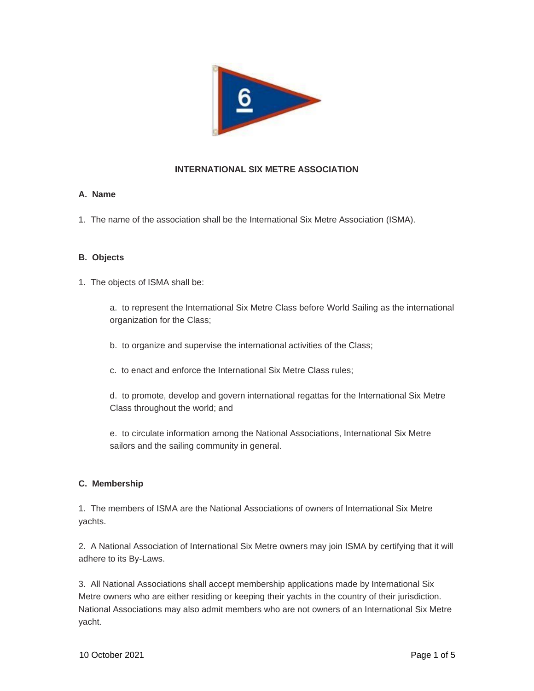

# **INTERNATIONAL SIX METRE ASSOCIATION**

### **A. Name**

1. The name of the association shall be the International Six Metre Association (ISMA).

### **B. Objects**

1. The objects of ISMA shall be:

a. to represent the International Six Metre Class before World Sailing as the international organization for the Class;

b. to organize and supervise the international activities of the Class;

c. to enact and enforce the International Six Metre Class rules;

d. to promote, develop and govern international regattas for the International Six Metre Class throughout the world; and

e. to circulate information among the National Associations, International Six Metre sailors and the sailing community in general.

#### **C. Membership**

1. The members of ISMA are the National Associations of owners of International Six Metre yachts.

2. A National Association of International Six Metre owners may join ISMA by certifying that it will adhere to its By-Laws.

3. All National Associations shall accept membership applications made by International Six Metre owners who are either residing or keeping their yachts in the country of their jurisdiction. National Associations may also admit members who are not owners of an International Six Metre yacht.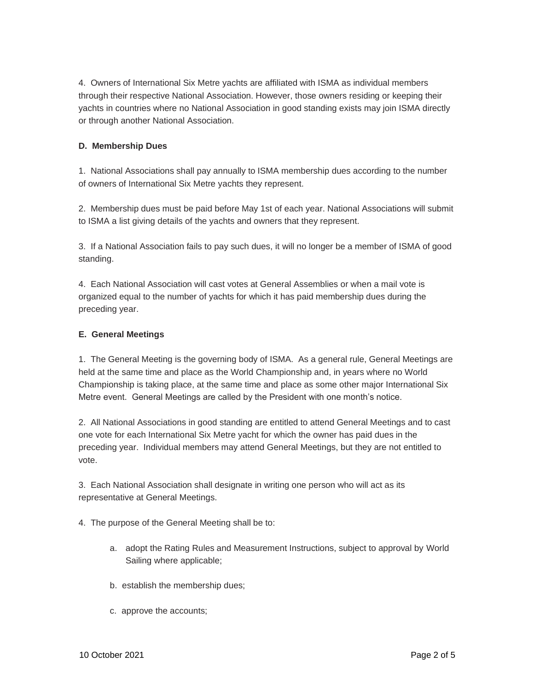4. Owners of International Six Metre yachts are affiliated with ISMA as individual members through their respective National Association. However, those owners residing or keeping their yachts in countries where no National Association in good standing exists may join ISMA directly or through another National Association.

## **D. Membership Dues**

1. National Associations shall pay annually to ISMA membership dues according to the number of owners of International Six Metre yachts they represent.

2. Membership dues must be paid before May 1st of each year. National Associations will submit to ISMA a list giving details of the yachts and owners that they represent.

3. If a National Association fails to pay such dues, it will no longer be a member of ISMA of good standing.

4. Each National Association will cast votes at General Assemblies or when a mail vote is organized equal to the number of yachts for which it has paid membership dues during the preceding year.

### **E. General Meetings**

1. The General Meeting is the governing body of ISMA. As a general rule, General Meetings are held at the same time and place as the World Championship and, in years where no World Championship is taking place, at the same time and place as some other major International Six Metre event. General Meetings are called by the President with one month's notice.

2. All National Associations in good standing are entitled to attend General Meetings and to cast one vote for each International Six Metre yacht for which the owner has paid dues in the preceding year. Individual members may attend General Meetings, but they are not entitled to vote.

3. Each National Association shall designate in writing one person who will act as its representative at General Meetings.

- 4. The purpose of the General Meeting shall be to:
	- a. adopt the Rating Rules and Measurement Instructions, subject to approval by World Sailing where applicable;
	- b. establish the membership dues;
	- c. approve the accounts;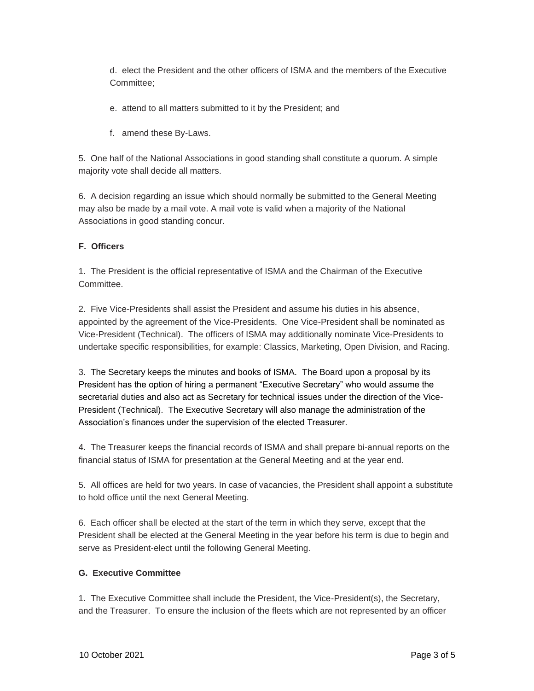d. elect the President and the other officers of ISMA and the members of the Executive Committee;

- e. attend to all matters submitted to it by the President; and
- f. amend these By-Laws.

5. One half of the National Associations in good standing shall constitute a quorum. A simple majority vote shall decide all matters.

6. A decision regarding an issue which should normally be submitted to the General Meeting may also be made by a mail vote. A mail vote is valid when a majority of the National Associations in good standing concur.

## **F. Officers**

1. The President is the official representative of ISMA and the Chairman of the Executive Committee.

2. Five Vice-Presidents shall assist the President and assume his duties in his absence, appointed by the agreement of the Vice-Presidents. One Vice-President shall be nominated as Vice-President (Technical). The officers of ISMA may additionally nominate Vice-Presidents to undertake specific responsibilities, for example: Classics, Marketing, Open Division, and Racing.

3. The Secretary keeps the minutes and books of ISMA. The Board upon a proposal by its President has the option of hiring a permanent "Executive Secretary" who would assume the secretarial duties and also act as Secretary for technical issues under the direction of the Vice-President (Technical). The Executive Secretary will also manage the administration of the Association's finances under the supervision of the elected Treasurer.

4. The Treasurer keeps the financial records of ISMA and shall prepare bi-annual reports on the financial status of ISMA for presentation at the General Meeting and at the year end.

5. All offices are held for two years. In case of vacancies, the President shall appoint a substitute to hold office until the next General Meeting.

6. Each officer shall be elected at the start of the term in which they serve, except that the President shall be elected at the General Meeting in the year before his term is due to begin and serve as President-elect until the following General Meeting.

# **G. Executive Committee**

1. The Executive Committee shall include the President, the Vice-President(s), the Secretary, and the Treasurer. To ensure the inclusion of the fleets which are not represented by an officer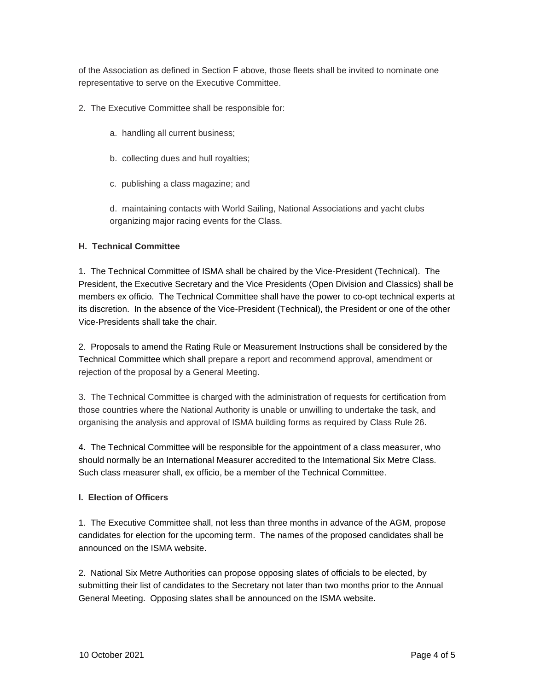of the Association as defined in Section F above, those fleets shall be invited to nominate one representative to serve on the Executive Committee.

- 2. The Executive Committee shall be responsible for:
	- a. handling all current business;
	- b. collecting dues and hull royalties;
	- c. publishing a class magazine; and

d. maintaining contacts with World Sailing, National Associations and yacht clubs organizing major racing events for the Class.

#### **H. Technical Committee**

1. The Technical Committee of ISMA shall be chaired by the Vice-President (Technical). The President, the Executive Secretary and the Vice Presidents (Open Division and Classics) shall be members ex officio. The Technical Committee shall have the power to co-opt technical experts at its discretion. In the absence of the Vice-President (Technical), the President or one of the other Vice-Presidents shall take the chair.

2. Proposals to amend the Rating Rule or Measurement Instructions shall be considered by the Technical Committee which shall prepare a report and recommend approval, amendment or rejection of the proposal by a General Meeting.

3. The Technical Committee is charged with the administration of requests for certification from those countries where the National Authority is unable or unwilling to undertake the task, and organising the analysis and approval of ISMA building forms as required by Class Rule 26.

4. The Technical Committee will be responsible for the appointment of a class measurer, who should normally be an International Measurer accredited to the International Six Metre Class. Such class measurer shall, ex officio, be a member of the Technical Committee.

#### **I. Election of Officers**

1. The Executive Committee shall, not less than three months in advance of the AGM, propose candidates for election for the upcoming term. The names of the proposed candidates shall be announced on the ISMA website.

2. National Six Metre Authorities can propose opposing slates of officials to be elected, by submitting their list of candidates to the Secretary not later than two months prior to the Annual General Meeting. Opposing slates shall be announced on the ISMA website.